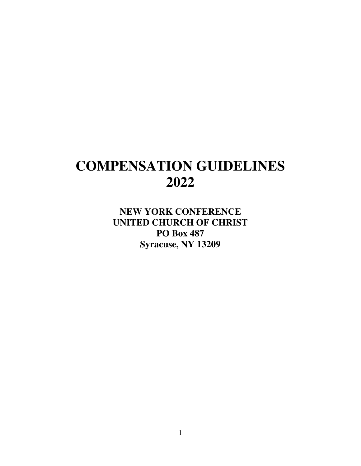# **COMPENSATION GUIDELINES 2022**

**NEW YORK CONFERENCE UNITED CHURCH OF CHRIST PO Box 487 Syracuse, NY 13209**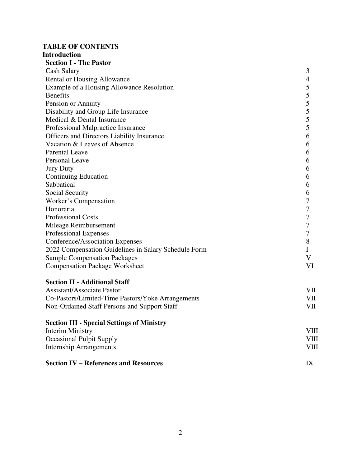# **TABLE OF CONTENTS Introduction**

| nu vuutuvn                                           |    |
|------------------------------------------------------|----|
| <b>Section I - The Pastor</b>                        |    |
| Cash Salary                                          | 3  |
| Rental or Housing Allowance                          | 4  |
| Example of a Housing Allowance Resolution            | 5  |
| <b>Benefits</b>                                      | 5  |
| Pension or Annuity                                   | 5  |
| Disability and Group Life Insurance                  | 5  |
| Medical & Dental Insurance                           | 5  |
| Professional Malpractice Insurance                   | 5  |
| Officers and Directors Liability Insurance           | 6  |
| Vacation & Leaves of Absence                         | 6  |
| <b>Parental Leave</b>                                | 6  |
| <b>Personal Leave</b>                                | 6  |
| <b>Jury Duty</b>                                     | 6  |
| <b>Continuing Education</b>                          | 6  |
| Sabbatical                                           | 6  |
| Social Security                                      | 6  |
| Worker's Compensation                                | 7  |
| Honoraria                                            | 7  |
| <b>Professional Costs</b>                            | 7  |
| Mileage Reimbursement                                | 7  |
| Professional Expenses                                | 7  |
| Conference/Association Expenses                      | 8  |
| 2022 Compensation Guidelines in Salary Schedule Form | I  |
| <b>Sample Compensation Packages</b>                  | V  |
| <b>Compensation Package Worksheet</b>                | VI |
| <b>Section II - Additional Staff</b>                 |    |
| Assistant/Associate Pastor                           | VH |

| Assistant/Associate Pastor                        | VII |
|---------------------------------------------------|-----|
| Co-Pastors/Limited-Time Pastors/Yoke Arrangements | VII |
| Non-Ordained Staff Persons and Support Staff      | VII |

# **Section III - Special Settings of Ministry**

| Interim Ministry                | VIII |
|---------------------------------|------|
| <b>Occasional Pulpit Supply</b> | VIII |
| Internship Arrangements         | VIII |
|                                 |      |

# **Section IV – References and Resources** IX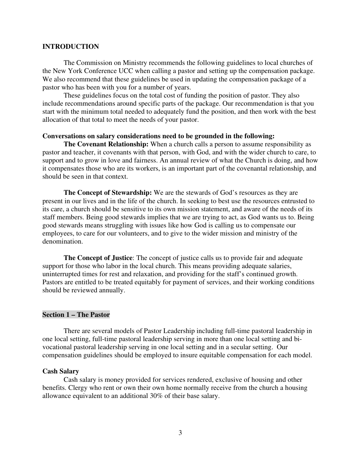## **INTRODUCTION**

The Commission on Ministry recommends the following guidelines to local churches of the New York Conference UCC when calling a pastor and setting up the compensation package. We also recommend that these guidelines be used in updating the compensation package of a pastor who has been with you for a number of years.

These guidelines focus on the total cost of funding the position of pastor. They also include recommendations around specific parts of the package. Our recommendation is that you start with the minimum total needed to adequately fund the position, and then work with the best allocation of that total to meet the needs of your pastor.

## **Conversations on salary considerations need to be grounded in the following:**

**The Covenant Relationship:** When a church calls a person to assume responsibility as pastor and teacher, it covenants with that person, with God, and with the wider church to care, to support and to grow in love and fairness. An annual review of what the Church is doing, and how it compensates those who are its workers, is an important part of the covenantal relationship, and should be seen in that context.

**The Concept of Stewardship:** We are the stewards of God's resources as they are present in our lives and in the life of the church. In seeking to best use the resources entrusted to its care, a church should be sensitive to its own mission statement, and aware of the needs of its staff members. Being good stewards implies that we are trying to act, as God wants us to. Being good stewards means struggling with issues like how God is calling us to compensate our employees, to care for our volunteers, and to give to the wider mission and ministry of the denomination.

**The Concept of Justice**: The concept of justice calls us to provide fair and adequate support for those who labor in the local church. This means providing adequate salaries, uninterrupted times for rest and relaxation, and providing for the staff's continued growth. Pastors are entitled to be treated equitably for payment of services, and their working conditions should be reviewed annually.

## **Section 1 – The Pastor**

There are several models of Pastor Leadership including full-time pastoral leadership in one local setting, full-time pastoral leadership serving in more than one local setting and bivocational pastoral leadership serving in one local setting and in a secular setting. Our compensation guidelines should be employed to insure equitable compensation for each model.

#### **Cash Salary**

Cash salary is money provided for services rendered, exclusive of housing and other benefits. Clergy who rent or own their own home normally receive from the church a housing allowance equivalent to an additional 30% of their base salary.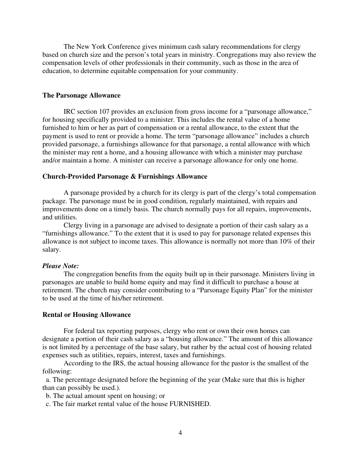The New York Conference gives minimum cash salary recommendations for clergy based on church size and the person's total years in ministry. Congregations may also review the compensation levels of other professionals in their community, such as those in the area of education, to determine equitable compensation for your community.

#### **The Parsonage Allowance**

IRC section 107 provides an exclusion from gross income for a "parsonage allowance," for housing specifically provided to a minister. This includes the rental value of a home furnished to him or her as part of compensation or a rental allowance, to the extent that the payment is used to rent or provide a home. The term "parsonage allowance" includes a church provided parsonage, a furnishings allowance for that parsonage, a rental allowance with which the minister may rent a home, and a housing allowance with which a minister may purchase and/or maintain a home. A minister can receive a parsonage allowance for only one home.

#### **Church-Provided Parsonage & Furnishings Allowance**

A parsonage provided by a church for its clergy is part of the clergy's total compensation package. The parsonage must be in good condition, regularly maintained, with repairs and improvements done on a timely basis. The church normally pays for all repairs, improvements, and utilities.

Clergy living in a parsonage are advised to designate a portion of their cash salary as a "furnishings allowance." To the extent that it is used to pay for parsonage related expenses this allowance is not subject to income taxes. This allowance is normally not more than 10% of their salary.

#### *Please Note:*

The congregation benefits from the equity built up in their parsonage. Ministers living in parsonages are unable to build home equity and may find it difficult to purchase a house at retirement. The church may consider contributing to a "Parsonage Equity Plan" for the minister to be used at the time of his/her retirement.

#### **Rental or Housing Allowance**

For federal tax reporting purposes, clergy who rent or own their own homes can designate a portion of their cash salary as a "housing allowance." The amount of this allowance is not limited by a percentage of the base salary, but rather by the actual cost of housing related expenses such as utilities, repairs, interest, taxes and furnishings.

According to the IRS, the actual housing allowance for the pastor is the smallest of the following:

 a. The percentage designated before the beginning of the year (Make sure that this is higher than can possibly be used.).

b. The actual amount spent on housing; or

c. The fair market rental value of the house FURNISHED.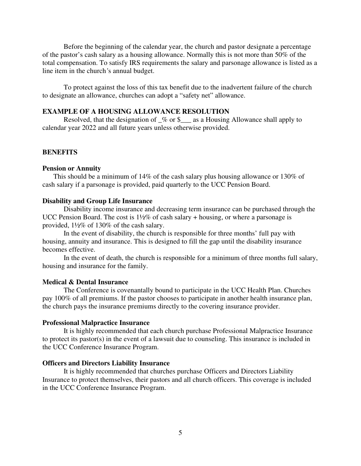Before the beginning of the calendar year, the church and pastor designate a percentage of the pastor's cash salary as a housing allowance. Normally this is not more than 50% of the total compensation. To satisfy IRS requirements the salary and parsonage allowance is listed as a line item in the church*'*s annual budget.

To protect against the loss of this tax benefit due to the inadvertent failure of the church to designate an allowance, churches can adopt a "safety net" allowance.

# **EXAMPLE OF A HOUSING ALLOWANCE RESOLUTION**

Resolved, that the designation of  $\frac{1}{2}$  or \$ $\frac{1}{2}$  as a Housing Allowance shall apply to calendar year 2022 and all future years unless otherwise provided.

#### **BENEFITS**

#### **Pension or Annuity**

This should be a minimum of 14% of the cash salary plus housing allowance or 130% of cash salary if a parsonage is provided, paid quarterly to the UCC Pension Board.

#### **Disability and Group Life Insurance**

Disability income insurance and decreasing term insurance can be purchased through the UCC Pension Board. The cost is  $1\frac{1}{2}\%$  of cash salary + housing, or where a parsonage is provided, 1½% of 130% of the cash salary.

 In the event of disability, the church is responsible for three months' full pay with housing, annuity and insurance. This is designed to fill the gap until the disability insurance becomes effective.

 In the event of death, the church is responsible for a minimum of three months full salary, housing and insurance for the family.

# **Medical & Dental Insurance**

The Conference is covenantally bound to participate in the UCC Health Plan. Churches pay 100% of all premiums. If the pastor chooses to participate in another health insurance plan, the church pays the insurance premiums directly to the covering insurance provider.

#### **Professional Malpractice Insurance**

It is highly recommended that each church purchase Professional Malpractice Insurance to protect its pastor(s) in the event of a lawsuit due to counseling. This insurance is included in the UCC Conference Insurance Program.

#### **Officers and Directors Liability Insurance**

It is highly recommended that churches purchase Officers and Directors Liability Insurance to protect themselves, their pastors and all church officers. This coverage is included in the UCC Conference Insurance Program.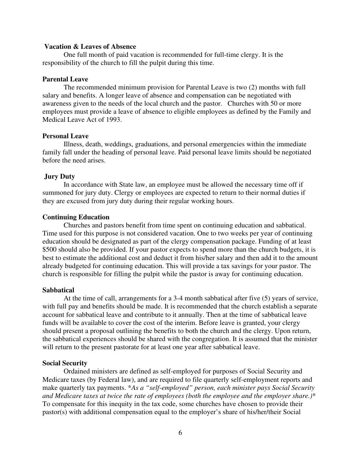## **Vacation & Leaves of Absence**

One full month of paid vacation is recommended for full-time clergy. It is the responsibility of the church to fill the pulpit during this time.

#### **Parental Leave**

The recommended minimum provision for Parental Leave is two (2) months with full salary and benefits. A longer leave of absence and compensation can be negotiated with awareness given to the needs of the local church and the pastor. Churches with 50 or more employees must provide a leave of absence to eligible employees as defined by the Family and Medical Leave Act of 1993.

# **Personal Leave**

Illness, death, weddings, graduations, and personal emergencies within the immediate family fall under the heading of personal leave. Paid personal leave limits should be negotiated before the need arises.

#### **Jury Duty**

In accordance with State law, an employee must be allowed the necessary time off if summoned for jury duty. Clergy or employees are expected to return to their normal duties if they are excused from jury duty during their regular working hours.

#### **Continuing Education**

Churches and pastors benefit from time spent on continuing education and sabbatical. Time used for this purpose is not considered vacation. One to two weeks per year of continuing education should be designated as part of the clergy compensation package. Funding of at least \$500 should also be provided. If your pastor expects to spend more than the church budgets, it is best to estimate the additional cost and deduct it from his/her salary and then add it to the amount already budgeted for continuing education. This will provide a tax savings for your pastor. The church is responsible for filling the pulpit while the pastor is away for continuing education.

# **Sabbatical**

At the time of call, arrangements for a 3-4 month sabbatical after five (5) years of service, with full pay and benefits should be made. It is recommended that the church establish a separate account for sabbatical leave and contribute to it annually. Then at the time of sabbatical leave funds will be available to cover the cost of the interim. Before leave is granted, your clergy should present a proposal outlining the benefits to both the church and the clergy. Upon return, the sabbatical experiences should be shared with the congregation. It is assumed that the minister will return to the present pastorate for at least one year after sabbatical leave.

# **Social Security**

Ordained ministers are defined as self-employed for purposes of Social Security and Medicare taxes (by Federal law), and are required to file quarterly self-employment reports and make quarterly tax payments. \**As a "self-employed" person, each minister pays Social Security and Medicare taxes at twice the rate of employees (both the employee and the employer share.)*\* To compensate for this inequity in the tax code, some churches have chosen to provide their pastor(s) with additional compensation equal to the employer's share of his/her/their Social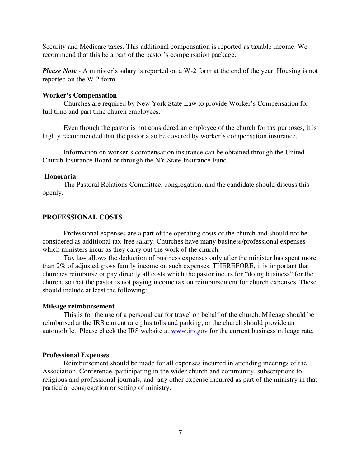Security and Medicare taxes. This additional compensation is reported as taxable income. We recommend that this be a part of the pastor's compensation package.

*Please Note* - A minister's salary is reported on a W-2 form at the end of the year. Housing is not reported on the W-2 form.

## **Worker's Compensation**

Churches are required by New York State Law to provide Worker's Compensation for full time and part time church employees.

Even though the pastor is not considered an employee of the church for tax purposes, it is highly recommended that the pastor also be covered by worker's compensation insurance.

Information on worker's compensation insurance can be obtained through the United Church Insurance Board or through the NY State Insurance Fund.

#### **Honoraria**

The Pastoral Relations Committee, congregation, and the candidate should discuss this openly.

# **PROFESSIONAL COSTS**

Professional expenses are a part of the operating costs of the church and should not be considered as additional tax-free salary. Churches have many business/professional expenses which ministers incur as they carry out the work of the church.

Tax law allows the deduction of business expenses only after the minister has spent more than 2% of adjusted gross family income on such expenses. THEREFORE, it is important that churches reimburse or pay directly all costs which the pastor incurs for "doing business" for the church, so that the pastor is not paying income tax on reimbursement for church expenses. These should include at least the following:

#### **Mileage reimbursement**

This is for the use of a personal car for travel on behalf of the church. Mileage should be reimbursed at the IRS current rate plus tolls and parking, or the church should provide an automobile. Please check the IRS website at www.irs.gov for the current business mileage rate.

#### **Professional Expenses**

Reimbursement should be made for all expenses incurred in attending meetings of the Association, Conference, participating in the wider church and community, subscriptions to religious and professional journals, and any other expense incurred as part of the ministry in that particular congregation or setting of ministry.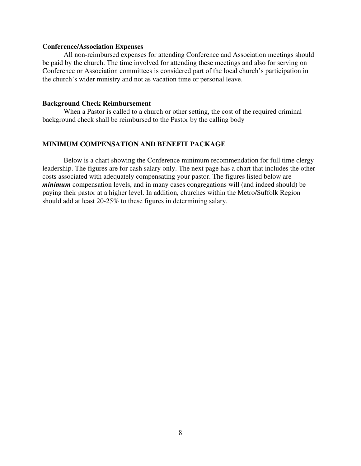# **Conference/Association Expenses**

All non-reimbursed expenses for attending Conference and Association meetings should be paid by the church. The time involved for attending these meetings and also for serving on Conference or Association committees is considered part of the local church's participation in the church's wider ministry and not as vacation time or personal leave.

# **Background Check Reimbursement**

When a Pastor is called to a church or other setting, the cost of the required criminal background check shall be reimbursed to the Pastor by the calling body

## **MINIMUM COMPENSATION AND BENEFIT PACKAGE**

Below is a chart showing the Conference minimum recommendation for full time clergy leadership. The figures are for cash salary only. The next page has a chart that includes the other costs associated with adequately compensating your pastor. The figures listed below are *minimum* compensation levels, and in many cases congregations will (and indeed should) be paying their pastor at a higher level. In addition, churches within the Metro/Suffolk Region should add at least 20-25% to these figures in determining salary.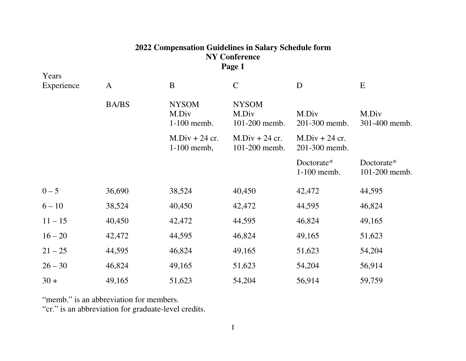# **2022 Compensation Guidelines in Salary Schedule form NY Conference Page 1**

| Years<br>Experience | $\mathbf{A}$ | $\mathbf B$                          | $\mathbf C$                            | D                                 | E                           |
|---------------------|--------------|--------------------------------------|----------------------------------------|-----------------------------------|-----------------------------|
|                     | <b>BA/BS</b> | <b>NYSOM</b><br>M.Div<br>1-100 memb. | <b>NYSOM</b><br>M.Div<br>101-200 memb. | M.Div<br>201-300 memb.            | M.Div<br>301-400 memb.      |
|                     |              | $M.Div + 24$ cr.<br>$1-100$ memb,    | $M.Div + 24$ cr.<br>101-200 memb.      | $M.Div + 24$ cr.<br>201-300 memb. |                             |
|                     |              |                                      |                                        | Doctorate*<br>1-100 memb.         | Doctorate*<br>101-200 memb. |
| $0 - 5$             | 36,690       | 38,524                               | 40,450                                 | 42,472                            | 44,595                      |
| $6 - 10$            | 38,524       | 40,450                               | 42,472                                 | 44,595                            | 46,824                      |
| $11 - 15$           | 40,450       | 42,472                               | 44,595                                 | 46,824                            | 49,165                      |
| $16 - 20$           | 42,472       | 44,595                               | 46,824                                 | 49,165                            | 51,623                      |
| $21 - 25$           | 44,595       | 46,824                               | 49,165                                 | 51,623                            | 54,204                      |
| $26 - 30$           | 46,824       | 49,165                               | 51,623                                 | 54,204                            | 56,914                      |
| $30 +$              | 49,165       | 51,623                               | 54,204                                 | 56,914                            | 59,759                      |

"memb." is an abbreviation for members.

"cr." is an abbreviation for graduate-level credits.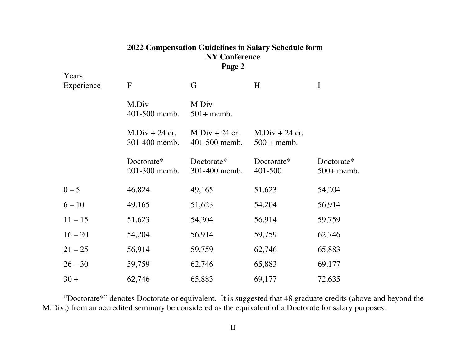# **2022 Compensation Guidelines in Salary Schedule form NY Conference Page 2**

| Years<br>Experience | $\mathbf F$                       | G                                 | H                                        | I                          |
|---------------------|-----------------------------------|-----------------------------------|------------------------------------------|----------------------------|
|                     | M.Div<br>401-500 memb.            | M.Div<br>$501+$ memb.             |                                          |                            |
|                     | $M.Div + 24 cr.$<br>301-400 memb. | $M.Div + 24$ cr.<br>401-500 memb. | $M.Div + 24 cr.$<br>$500 + \text{memb}.$ |                            |
|                     | Doctorate*<br>201-300 memb.       | Doctorate*<br>301-400 memb.       | Doctorate*<br>401-500                    | Doctorate*<br>$500+$ memb. |
| $0 - 5$             | 46,824                            | 49,165                            | 51,623                                   | 54,204                     |
| $6 - 10$            | 49,165                            | 51,623                            | 54,204                                   | 56,914                     |
| $11 - 15$           | 51,623                            | 54,204                            | 56,914                                   | 59,759                     |
| $16 - 20$           | 54,204                            | 56,914                            | 59,759                                   | 62,746                     |
| $21 - 25$           | 56,914                            | 59,759                            | 62,746                                   | 65,883                     |
| $26 - 30$           | 59,759                            | 62,746                            | 65,883                                   | 69,177                     |
| $30 +$              | 62,746                            | 65,883                            | 69,177                                   | 72,635                     |

"Doctorate\*" denotes Doctorate or equivalent. It is suggested that 48 graduate credits (above and beyond the M.Div.) from an accredited seminary be considered as the equivalent of a Doctorate for salary purposes.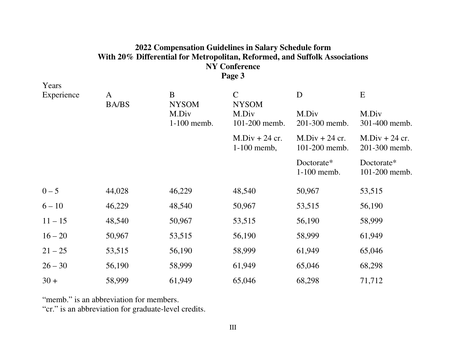# **2022 Compensation Guidelines in Salary Schedule form With 20% Differential for Metropolitan, Reformed, and Suffolk Associations NY Conference Page 3**

| A      | B                    | $\mathsf{C}$                    | D                                 | E                                 |
|--------|----------------------|---------------------------------|-----------------------------------|-----------------------------------|
|        | M.Div<br>1-100 memb. | M.Div<br>101-200 memb.          | M.Div<br>201-300 memb.            | M.Div<br>301-400 memb.            |
|        |                      | $M.Div + 24$ cr.<br>1-100 memb, | $M.Div + 24$ cr.<br>101-200 memb. | $M.Div + 24$ cr.<br>201-300 memb. |
|        |                      |                                 | Doctorate*<br>1-100 memb.         | Doctorate*<br>101-200 memb.       |
| 44,028 | 46,229               | 48,540                          | 50,967                            | 53,515                            |
| 46,229 | 48,540               | 50,967                          | 53,515                            | 56,190                            |
| 48,540 | 50,967               | 53,515                          | 56,190                            | 58,999                            |
| 50,967 | 53,515               | 56,190                          | 58,999                            | 61,949                            |
| 53,515 | 56,190               | 58,999                          | 61,949                            | 65,046                            |
| 56,190 | 58,999               | 61,949                          | 65,046                            | 68,298                            |
| 58,999 | 61,949               | 65,046                          | 68,298                            | 71,712                            |
|        | <b>BA/BS</b>         | <b>NYSOM</b>                    | <b>NYSOM</b>                      |                                   |

"memb." is an abbreviation for members.

"cr." is an abbreviation for graduate-level credits.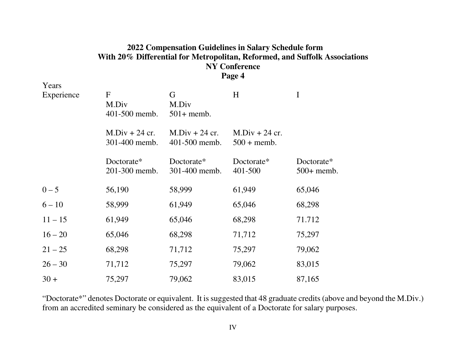# **2022 Compensation Guidelines in Salary Schedule form With 20% Differential for Metropolitan, Reformed, and Suffolk Associations NY Conference Page 4**

Years Experience F G H I M.Div M.Div 401-500 memb. 501+ memb.  $M.Div + 24 cr.$   $M.Div + 24 cr.$   $M.Div + 24 cr.$  301-400 memb. 401-500 memb. 500 + memb. Doctorate\* Doctorate\* Doctorate\* Doctorate\* 201-300 memb. 301-400 memb. 401-500 500+ memb.  $0 - 5$  56,190 58,999 61,949 65,046  $6 - 10$  58,999 61,949 65,046 68,298  $11 - 15$  61,949 65,046 68,298 71.712  $16 - 20$ 0 65,046 68,298 71,712 75,297  $21 - 25$ 5 68,298 71,712 75,297 79,062  $26 - 30$  71,712 75,297 79,062 83,015  $30 +$ 75,297 79,062 83,015 87,165

"Doctorate\*" denotes Doctorate or equivalent. It is suggested that 48 graduate credits (above and beyond the M.Div.) from an accredited seminary be considered as the equivalent of a Doctorate for salary purposes.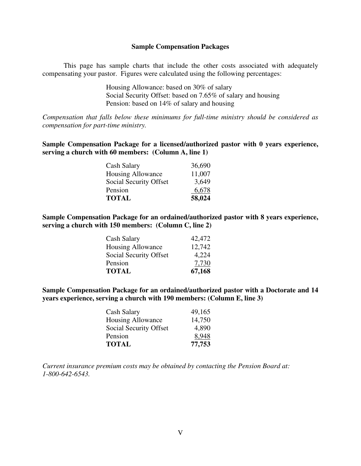## **Sample Compensation Packages**

 This page has sample charts that include the other costs associated with adequately compensating your pastor. Figures were calculated using the following percentages:

> Housing Allowance: based on 30% of salary Social Security Offset: based on 7.65% of salary and housing Pension: based on 14% of salary and housing

*Compensation that falls below these minimums for full-time ministry should be considered as compensation for part-time ministry.* 

**Sample Compensation Package for a licensed/authorized pastor with 0 years experience, serving a church with 60 members: (Column A, line 1)** 

| Cash Salary            | 36,690 |
|------------------------|--------|
| Housing Allowance      | 11,007 |
| Social Security Offset | 3,649  |
| Pension                | 6,678  |
| <b>TOTAL</b>           | 58,024 |

**Sample Compensation Package for an ordained/authorized pastor with 8 years experience, serving a church with 150 members: (Column C, line 2)** 

| Cash Salary            | 42,472 |
|------------------------|--------|
| Housing Allowance      | 12,742 |
| Social Security Offset | 4,224  |
| Pension                | 7.730  |
| <b>TOTAL</b>           | 67,168 |

**Sample Compensation Package for an ordained/authorized pastor with a Doctorate and 14 years experience, serving a church with 190 members: (Column E, line 3)** 

| Cash Salary            | 49,165 |
|------------------------|--------|
| Housing Allowance      | 14,750 |
| Social Security Offset | 4,890  |
| Pension                | 8.948  |
| <b>TOTAL</b>           | 77,753 |

*Current insurance premium costs may be obtained by contacting the Pension Board at: 1-800-642-6543.*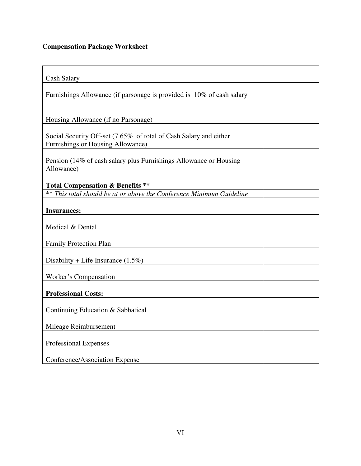# **Compensation Package Worksheet**

| <b>Cash Salary</b>                                                                                     |  |
|--------------------------------------------------------------------------------------------------------|--|
| Furnishings Allowance (if parsonage is provided is 10% of cash salary                                  |  |
| Housing Allowance (if no Parsonage)                                                                    |  |
| Social Security Off-set (7.65% of total of Cash Salary and either<br>Furnishings or Housing Allowance) |  |
| Pension (14% of cash salary plus Furnishings Allowance or Housing<br>Allowance)                        |  |
| <b>Total Compensation &amp; Benefits **</b>                                                            |  |
| ** This total should be at or above the Conference Minimum Guideline                                   |  |
| <b>Insurances:</b>                                                                                     |  |
| Medical & Dental                                                                                       |  |
| Family Protection Plan                                                                                 |  |
| Disability + Life Insurance $(1.5\%)$                                                                  |  |
| Worker's Compensation                                                                                  |  |
| <b>Professional Costs:</b>                                                                             |  |
| Continuing Education & Sabbatical                                                                      |  |
| Mileage Reimbursement                                                                                  |  |
| Professional Expenses                                                                                  |  |
| Conference/Association Expense                                                                         |  |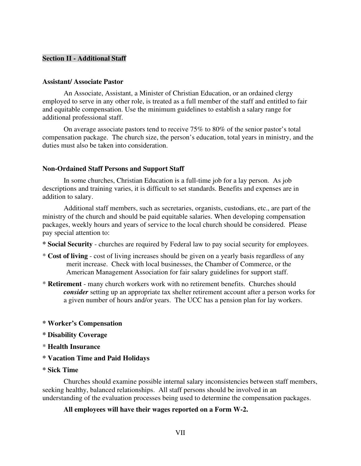# **Section II - Additional Staff**

# **Assistant/ Associate Pastor**

An Associate, Assistant, a Minister of Christian Education, or an ordained clergy employed to serve in any other role, is treated as a full member of the staff and entitled to fair and equitable compensation. Use the minimum guidelines to establish a salary range for additional professional staff.

On average associate pastors tend to receive 75% to 80% of the senior pastor's total compensation package. The church size, the person's education, total years in ministry, and the duties must also be taken into consideration.

#### **Non-Ordained Staff Persons and Support Staff**

In some churches, Christian Education is a full-time job for a lay person. As job descriptions and training varies, it is difficult to set standards. Benefits and expenses are in addition to salary.

Additional staff members, such as secretaries, organists, custodians, etc., are part of the ministry of the church and should be paid equitable salaries. When developing compensation packages, weekly hours and years of service to the local church should be considered. Please pay special attention to:

- **\* Social Security**  churches are required by Federal law to pay social security for employees.
- \* **Cost of living** cost of living increases should be given on a yearly basis regardless of any merit increase. Check with local businesses, the Chamber of Commerce, or the American Management Association for fair salary guidelines for support staff.
- \* **Retirement** many church workers work with no retirement benefits. Churches should *consider* setting up an appropriate tax shelter retirement account after a person works for a given number of hours and/or years. The UCC has a pension plan for lay workers.

## **\* Worker's Compensation**

- **\* Disability Coverage**
- \* **Health Insurance**
- **\* Vacation Time and Paid Holidays**

#### **\* Sick Time**

 Churches should examine possible internal salary inconsistencies between staff members, seeking healthy, balanced relationships. All staff persons should be involved in an understanding of the evaluation processes being used to determine the compensation packages.

# **All employees will have their wages reported on a Form W-2.**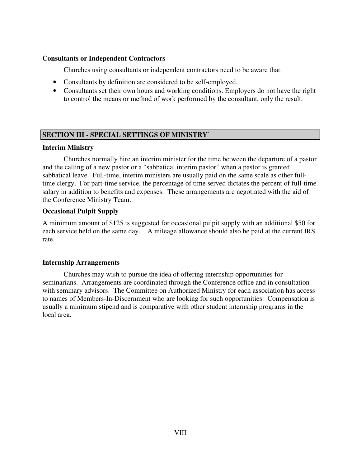# **Consultants or Independent Contractors**

Churches using consultants or independent contractors need to be aware that:

- Consultants by definition are considered to be self-employed.
- Consultants set their own hours and working conditions. Employers do not have the right to control the means or method of work performed by the consultant, only the result.

# **SECTION III - SPECIAL SETTINGS OF MINISTRY`**

# **Interim Ministry**

Churches normally hire an interim minister for the time between the departure of a pastor and the calling of a new pastor or a "sabbatical interim pastor" when a pastor is granted sabbatical leave. Full-time, interim ministers are usually paid on the same scale as other fulltime clergy. For part-time service, the percentage of time served dictates the percent of full-time salary in addition to benefits and expenses. These arrangements are negotiated with the aid of the Conference Ministry Team.

# **Occasional Pulpit Supply**

A minimum amount of \$125 is suggested for occasional pulpit supply with an additional \$50 for each service held on the same day. A mileage allowance should also be paid at the current IRS rate.

# **Internship Arrangements**

Churches may wish to pursue the idea of offering internship opportunities for seminarians. Arrangements are coordinated through the Conference office and in consultation with seminary advisors. The Committee on Authorized Ministry for each association has access to names of Members-In-Discernment who are looking for such opportunities. Compensation is usually a minimum stipend and is comparative with other student internship programs in the local area.